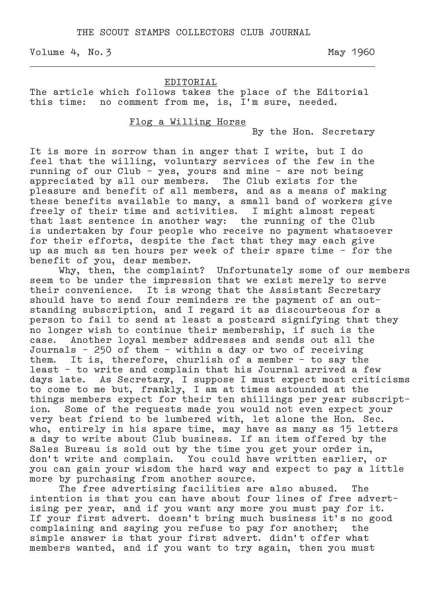Volume 4, No. 3 May 1960

#### EDITORIAL

The article which follows takes the place of the Editorial this time: no comment from me, is, I'm sure, needed.

.

# Flog a Willing Horse

By the Hon. Secretary

It is more in sorrow than in anger that I write, but I do feel that the willing, voluntary services of the few in the running of our Club – yes, yours and mine – are not being appreciated by all our members. The Club exists for the pleasure and benefit of all members, and as a means of making these benefits available to many, a small band of workers give freely of their time and activities. I might almost repeat that last sentence in another way: the running of the Club is undertaken by four people who receive no payment whatsoever for their efforts, despite the fact that they may each give up as much as ten hours per week of their spare time – for the benefit of you, dear member.

 Why, then, the complaint? Unfortunately some of our members seem to be under the impression that we exist merely to serve their convenience. It is wrong that the Assistant Secretary should have to send four reminders re the payment of an outstanding subscription, and I regard it as discourteous for a person to fail to send at least a postcard signifying that they no longer wish to continue their membership, if such is the case. Another loyal member addresses and sends out all the Journals – 250 of them – within a day or two of receiving them. It is, therefore, churlish of a member – to say the least – to write and complain that his Journal arrived a few days late. As Secretary, I suppose I must expect most criticisms to come to me but, frankly, I am at times astounded at the things members expect for their ten shillings per year subscript– ion. Some of the requests made you would not even expect your very best friend to be lumbered with, let alone the Hon. Sec. who, entirely in his spare time, may have as many as 15 letters a day to write about Club business. If an item offered by the Sales Bureau is sold out by the time you get your order in, don't write and complain. You could have written earlier, or you can gain your wisdom the hard way and expect to pay a little more by purchasing from another source.

 The free advertising facilities are also abused. The intention is that you can have about four lines of free advert– ising per year, and if you want any more you must pay for it. If your first advert. doesn't bring much business it's no good complaining and saying you refuse to pay for another; the simple answer is that your first advert. didn't offer what members wanted, and if you want to try again, then you must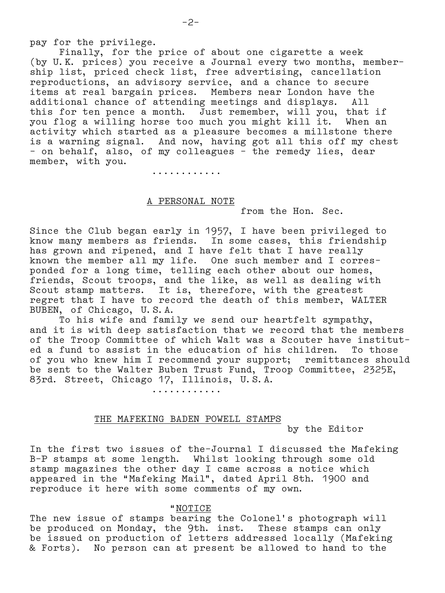Finally, for the price of about one cigarette a week (by U.K. prices) you receive a Journal every two months, member– ship list, priced check list, free advertising, cancellation reproductions, an advisory service, and a chance to secure items at real bargain prices. Members near London have the additional chance of attending meetings and displays. All this for ten pence a month. Just remember, will you, that if you flog a willing horse too much you might kill it. When an activity which started as a pleasure becomes a millstone there is a warning signal. And now, having got all this off my chest – on behalf, also, of my colleagues – the remedy lies, dear member, with you.

............

# A PERSONAL NOTE

from the Hon. Sec.

Since the Club began early in 1957, I have been privileged to know many members as friends. In some cases, this friendship has grown and ripened, and I have felt that I have really known the member all my life. One such member and I corres– ponded for a long time, telling each other about our homes, friends, Scout troops, and the like, as well as dealing with Scout stamp matters. It is, therefore, with the greatest regret that I have to record the death of this member, WALTER BUBEN, of Chicago, U.S.A.

 To his wife and family we send our heartfelt sympathy, and it is with deep satisfaction that we record that the members of the Troop Committee of which Walt was a Scouter have institut– ed a fund to assist in the education of his children. To those of you who knew him I recommend your support; remittances should be sent to the Walter Buben Trust Fund, Troop Committee, 2325E, 83rd. Street, Chicago 17, Illinois, U.S.A.

............

## THE MAFEKING BADEN POWELL STAMPS

by the Editor

In the first two issues of the–Journal I discussed the Mafeking B–P stamps at some length. Whilst looking through some old stamp magazines the other day I came across a notice which appeared in the "Mafeking Mail", dated April 8th. 1900 and reproduce it here with some comments of my own.

#### "NOTICE

The new issue of stamps bearing the Colonel's photograph will be produced on Monday, the 9th. inst. These stamps can only be issued on production of letters addressed locally (Mafeking & Forts). No person can at present be allowed to hand to the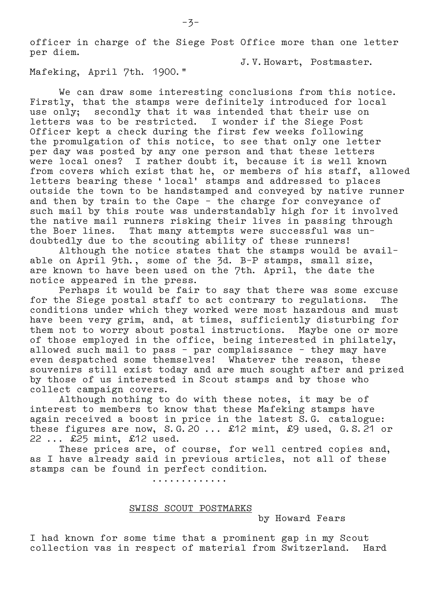officer in charge of the Siege Post Office more than one letter per diem.

J.V.Howart, Postmaster.

Mafeking, April 7th. 1900."

 We can draw some interesting conclusions from this notice. Firstly, that the stamps were definitely introduced for local use only; secondly that it was intended that their use on letters was to be restricted. I wonder if the Siege Post Officer kept a check during the first few weeks following the promulgation of this notice, to see that only one letter per day was posted by any one person and that these letters were local ones? I rather doubt it, because it is well known from covers which exist that he, or members of his staff, allowed letters bearing these 'local' stamps and addressed to places outside the town to be handstamped and conveyed by native runner and then by train to the Cape – the charge for conveyance of such mail by this route was understandably high for it involved the native mail runners risking their lives in passing through the Boer lines. That many attempts were successful was un– doubtedly due to the scouting ability of these runners!

 Although the notice states that the stamps would be avail– able on April 9th., some of the 3d. B–P stamps, small size, are known to have been used on the 7th. April, the date the notice appeared in the press.

 Perhaps it would be fair to say that there was some excuse for the Siege postal staff to act contrary to regulations. The conditions under which they worked were most hazardous and must have been very grim, and, at times, sufficiently disturbing for them not to worry about postal instructions. Maybe one or more of those employed in the office, being interested in philately, allowed such mail to pass – par complaissance – they may have even despatched some themselves! Whatever the reason, these souvenirs still exist today and are much sought after and prized by those of us interested in Scout stamps and by those who collect campaign covers.

 Although nothing to do with these notes, it may be of interest to members to know that these Mafeking stamps have again received a boost in price in the latest S.G. catalogue: these figures are now, S.G.20 ... £12 mint, £9 used, G.S.21 or 22 ... £25 mint, £12 used.

 These prices are, of course, for well centred copies and, as I have already said in previous articles, not all of these stamps can be found in perfect condition.

.............

### SWISS SCOUT POSTMARKS

by Howard Fears

I had known for some time that a prominent gap in my Scout collection vas in respect of material from Switzerland. Hard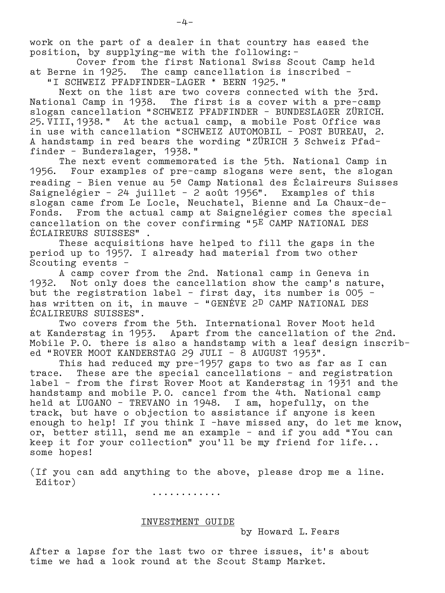work on the part of a dealer in that country has eased the position, by supplying–me with the following:–

 Cover from the first National Swiss Scout Camp held at Berne in 1925. The camp cancellation is inscribed – "I SCHWEIZ PFADFINDER–LAGER \* BERN 1925."

 Next on the list are two covers connected with the 3rd. National Camp in 1938. The first is a cover with a pre–camp slogan cancellation "SCHWEIZ PFADFINDER – BUNDESLAGER ZÜRICH. 25.VIII,1938." At the actual camp, a mobile Post Office was in use with cancellation "SCHWEIZ AUTOMOBIL – POST BUREAU, 2. A handstamp in red bears the wording "ZÜRICH 3 Schweiz Pfad– finder – Bunderslager, 1938."

 The next event commemorated is the 5th. National Camp in 1956. Four examples of pre–camp slogans were sent, the slogan reading – Bien venue au 5e Camp National des Éclaireurs Suisses Saignelégìer – 24 juillet – 2 août 1956". Examples of this slogan came from Le Locle, Neuchatel, Bienne and La Chaux–de– Fonds. From the actual camp at Saignelégìer comes the special cancellation on the cover confirming "5E CAMP NATIONAL DES ÉCLAIREURS SUISSES" .

 These acquisitions have helped to fill the gaps in the period up to 1957. I already had material from two other Scouting events –

 A camp cover from the 2nd. National camp in Geneva in 1932. Not only does the cancellation show the camp's nature, but the registration label – first day, its number is 005 – has written on it, in mauve – "GENÉVE 2D CAMP NATIONAL DES ÉCALIREURS SUISSES".

 Two covers from the 5th. International Rover Moot held at Kanderstag in 1953. Apart from the cancellation of the 2nd. Mobile P.O. there is also a handstamp with a leaf design inscrib– ed "ROVER MOOT KANDERSTAG 29 JULI – 8 AUGUST 1953".

 This had reduced my pre–1957 gaps to two as far as I can trace. These are the special cancellations – and registration label – from the first Rover Moot at Kanderstag in 1931 and the handstamp and mobile P.O. cancel from the 4th. National camp held at LUGANO – TREVANO in 1948. I am, hopefully, on the track, but have o objection to assistance if anyone is keen enough to help! If you think I –have missed any, do let me know, or, better still, send me an example – and if you add "You can keep it for your collection" you'll be my friend for life... some hopes!

(If you can add anything to the above, please drop me a line. Editor)

............

# INVESTMENT GUIDE

by Howard L.Fears

After a lapse for the last two or three issues, it's about time we had a look round at the Scout Stamp Market.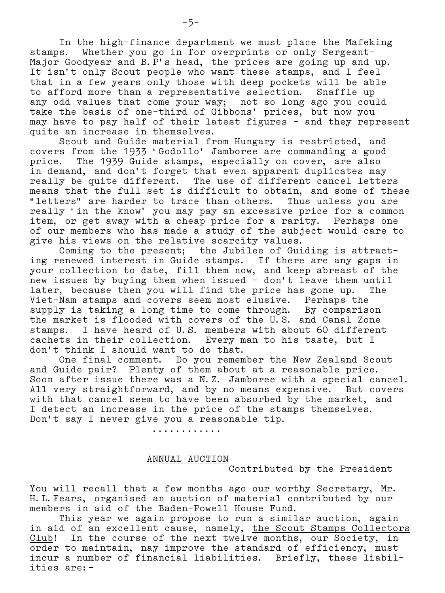In the high–finance department we must place the Mafeking stamps. Whether you go in for overprints or only Sergeant– Major Goodyear and B.P's head, the prices are going up and up. It isn't only Scout people who want these stamps, and I feel that in a few years only those with deep pockets will be able to afford more than a representative selection. Snaffle up any odd values that come your way; not so long ago you could take the basis of one–third of Gibbons' prices, but now you may have to pay half of their latest figures – and they represent quite an increase in themselves.

 Scout and Guide material from Hungary is restricted, and covers from the 1933 'Godollo' Jamboree are commanding a good price. The 1939 Guide stamps, especially on cover, are also in demand, and don't forget that even apparent duplicates may really be quite different. The use of different cancel letters means that the full set is difficult to obtain, and some of these<br>"letters" are harder to trace than others. Thus unless you are "letters" are harder to trace than others. really 'in the know' you may pay an excessive price for a common item, or get away with a cheap price for a rarity. Perhaps one of our members who has made a study of the subject would care to give his views on the relative scarcity values.

 Coming to the present; the Jubilee of Guiding is attract– ing renewed interest in Guide stamps. If there are any gaps in your collection to date, fill them now, and keep abreast of the new issues by buying them when issued - don't leave them until later, because then you will find the price has gone up. Viet–Nam stamps and covers seem most elusive. Perhaps the supply is taking a long time to come through. By comparison the market is flooded with covers of the U.S. and Canal Zone stamps. I have heard of U.S. members with about 60 different cachets in their collection. Every man to his taste, but I don't think I should want to do that.

 One final comment. Do you remember the New Zealand Scout and Guide pair? Plenty of them about at a reasonable price. Soon after issue there was a N.Z. Jamboree with a special cancel. All very straightforward, and by no means expensive. But covers with that cancel seem to have been absorbed by the market, and I detect an increase in the price of the stamps themselves. Don't say I never give you a reasonable tip.

............

### ANNUAL AUCTION

Contributed by the President

You will recall that a few months ago our worthy Secretary, Mr. H.L.Fears, organised an auction of material contributed by our members in aid of the Baden–Powell House Fund.

 This year we again propose to run a similar auction, again in aid of an excellent cause, namely, the Scout Stamps Collectors Club! In the course of the next twelve months, our Society, in order to maintain, nay improve the standard of efficiency, must incur a number of financial liabilities. Briefly, these liabilities are:–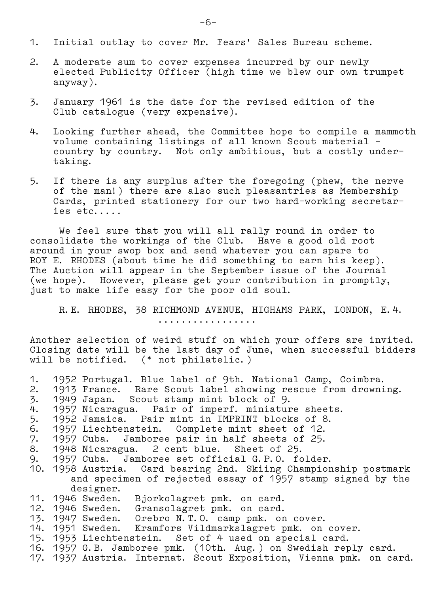- 1. Initial outlay to cover Mr. Fears' Sales Bureau scheme.
- 2. A moderate sum to cover expenses incurred by our newly elected Publicity Officer (high time we blew our own trumpet anyway).
- 3. January 1961 is the date for the revised edition of the Club catalogue (very expensive).
- 4. Looking further ahead, the Committee hope to compile a mammoth volume containing listings of all known Scout material – country by country. Not only ambitious, but a costly under– taking.
- 5. If there is any surplus after the foregoing (phew, the nerve of the man!) there are also such pleasantries as Membership Cards, printed stationery for our two hard–working secretar– ies etc.....

 We feel sure that you will all rally round in order to consolidate the workings of the Club. Have a good old root around in your swop box and send whatever you can spare to ROY E. RHODES (about time he did something to earn his keep). The Auction will appear in the September issue of the Journal (we hope). However, please get your contribution in promptly, just to make life easy for the poor old soul.

 R.E. RHODES, 38 RICHMOND AVENUE, HIGHAMS PARK, LONDON, E.4. .................

Another selection of weird stuff on which your offers are invited. Closing date will be the last day of June, when successful bidders will be notified. (\* not philatelic.)

1. 1952 Portugal. Blue label of 9th. National Camp, Coimbra. 2. 1913 France. Rare Scout label showing rescue from drowning. 3. 1949 Japan. Scout stamp mint block of 9. 4. 1957 Nicaragua. Pair of imperf. miniature sheets. 5. 1952 Jamaica. Pair mint in IMPRINT blocks of 8. 6. 1957 Liechtenstein. Complete mint sheet of 12. 7. 1957 Cuba. Jamboree pair in half sheets of 25. 8. 1948 Nicaragua. 2 cent blue. Sheet of 25. 9. 1957 Cuba. Jamboree set official G.P.O. folder. 10. 1958 Austria. Card bearing 2nd. Skiing Championship postmark and specimen of rejected essay of 1957 stamp signed by the designer.<br>11. 1946 Sweden. Bjorkolagret pmk. on card. 12. 1946 Sweden. Gransolagret pmk. on card. 13. 1947 Sweden. Orebro N.T.O. camp pmk. on cover. 14. 1951 Sweden. Kramfors Vildmarkslagret pmk. on cover. 15. 1953 Liechtenstein. Set of 4 used on special card. 16. 1957 G.B. Jamboree pmk. (10th. Aug.) on Swedish reply card. 17. 1937 Austria. Internat. Scout Exposition, Vienna pmk. on card.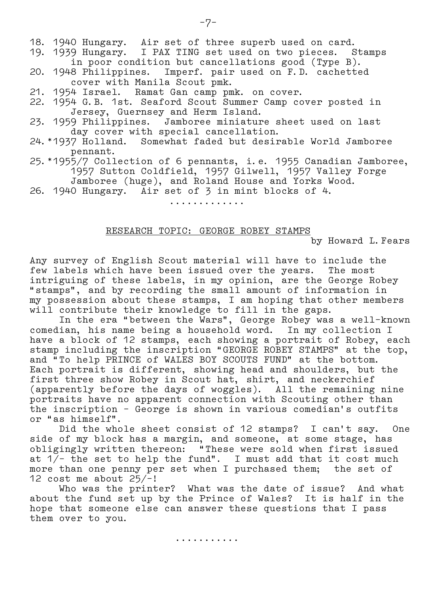18. 1940 Hungary. Air set of three superb used on card. 19. 1939 Hungary. I PAX TING set used on two pieces. Stamps in poor condition but cancellations good (Type B). 20. 1948 Philippines. Imperf. pair used on F.D. cachetted cover with Manila Scout pmk. 21. 1954 Israel. Ramat Gan camp pmk. on cover. 22. 1954 G.B. 1st. Seaford Scout Summer Camp cover posted in Jersey, Guernsey and Herm Island. 23. 1959 Philippines. Jamboree miniature sheet used on last day cover with special cancellation. 24.\*1937 Holland. Somewhat faded but desirable World Jamboree pennant. 25.\*1955/7 Collection of 6 pennants, i.e. 1955 Canadian Jamboree, 1957 Sutton Coldfield, 1957 Gilwell, 1957 Valley Forge Jamboree (huge), and Roland House and Yorks Wood. 26. 1940 Hungary. Air set of 3 in mint blocks of 4. .............

## RESEARCH TOPIC: GEORGE ROBEY STAMPS

by Howard L.Fears

Any survey of English Scout material will have to include the few labels which have been issued over the years. The most intriguing of these labels, in my opinion, are the George Robey "stamps", and by recording the small amount of information in my possession about these stamps, I am hoping that other members will contribute their knowledge to fill in the gaps.

In the era "between the Wars", George Robey was a well-known comedian, his name being a household word. In my collection I have a block of 12 stamps, each showing a portrait of Robey, each stamp including the inscription "GEORGE ROBEY STAMPS" at the top, and "To help PRINCE of WALES BOY SCOUTS FUND" at the bottom. Each portrait is different, showing head and shoulders, but the first three show Robey in Scout hat, shirt, and neckerchief (apparently before the days of woggles). All the remaining nine portraits have no apparent connection with Scouting other than the inscription – George is shown in various comedian's outfits or "as himself".

 Did the whole sheet consist of 12 stamps? I can't say. One side of my block has a margin, and someone, at some stage, has obligingly written thereon: "These were sold when first issued at  $1/-$  the set to help the fund". I must add that it cost much more than one penny per set when I purchased them; the set of 12 cost me about 25/–!

 Who was the printer? What was the date of issue? And what about the fund set up by the Prince of Wales? It is half in the hope that someone else can answer these questions that I pass them over to you.

...........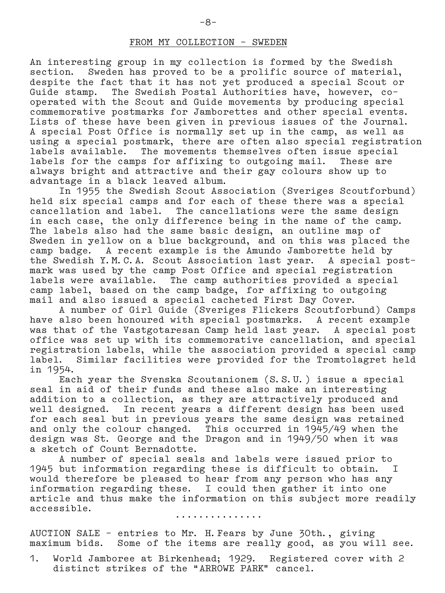## FROM MY COLLECTION – SWEDEN

An interesting group in my collection is formed by the Swedish section. Sweden has proved to be a prolific source of material, despite the fact that it has not yet produced a special Scout or Guide stamp. The Swedish Postal Authorities have, however, co– operated with the Scout and Guide movements by producing special commemorative postmarks for Jamborettes and other special events. Lists of these have been given in previous issues of the Journal. A special Post Office is normally set up in the camp, as well as using a special postmark, there are often also special registration labels available. The movements themselves often issue special labels for the camps for affixing to outgoing mail. These are always bright and attractive and their gay colours show up to advantage in a black leaved album.

 In 1955 the Swedish Scout Association (Sveriges Scoutforbund) held six special camps and for each of these there was a special cancellation and label. The cancellations were the same design in each case, the only difference being in the name of the camp. The labels also had the same basic design, an outline map of Sweden in yellow on a blue background, and on this was placed the camp badge. A recent example is the Amundo Jamborette held by the Swedish Y.M.C.A. Scout Association last year. A special post– mark was used by the camp Post Office and special registration labels were available. The camp authorities provided a special camp label, based on the camp badge, for affixing to outgoing mail and also issued a special cacheted First Day Cover.

 A number of Girl Guide (Sveriges Flickers Scoutforbund) Camps have also been honoured with special postmarks. A recent example was that of the Vastgotaresan Camp held last year. A special post office was set up with its commemorative cancellation, and special registration labels, while the association provided a special camp label. Similar facilities were provided for the Tromtolagret held in 1954.

 Each year the Svenska Scoutanionem (S.S.U.) issue a special seal in aid of their funds and these also make an interesting addition to a collection, as they are attractively produced and well designed. In recent years a different design has been used for each seal but in previous years the same design was retained and only the colour changed. This occurred in 1945/49 when the design was St. George and the Dragon and in 1949/50 when it was a sketch of Count Bernadotte.

 A number of special seals and labels were issued prior to 1945 but information regarding these is difficult to obtain. I would therefore be pleased to hear from any person who has any information regarding these. I could then gather it into one article and thus make the information on this subject more readily accessible.

...............

AUCTION SALE – entries to Mr. H.Fears by June 30th., giving maximum bids. Some of the items are really good, as you will see.

1. World Jamboree at Birkenhead; 1929. Registered cover with 2 distinct strikes of the "ARROWE PARK" cancel.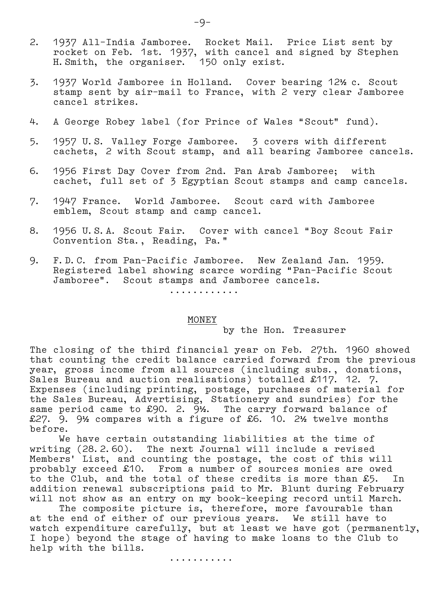- 2. 1937 All–India Jamboree. Rocket Mail. Price List sent by rocket on Feb. 1st. 1937, with cancel and signed by Stephen H.Smith, the organiser. 150 only exist.
- 3. 1937 World Jamboree in Holland. Cover bearing 12**½** c. Scout stamp sent by air–mail to France, with 2 very clear Jamboree cancel strikes.
- 4. A George Robey label (for Prince of Wales "Scout" fund).
- 5. 1957 U.S. Valley Forge Jamboree. 3 covers with different cachets, 2 with Scout stamp, and all bearing Jamboree cancels.
- 6. 1956 First Day Cover from 2nd. Pan Arab Jamboree; with cachet, full set of 3 Egyptian Scout stamps and camp cancels.
- 7. 1947 France. World Jamboree. Scout card with Jamboree emblem, Scout stamp and camp cancel.
- 8. 1956 U.S.A. Scout Fair. Cover with cancel "Boy Scout Fair Convention Sta., Reading, Pa."
- 9. F.D.C. from Pan–Pacific Jamboree. New Zealand Jan. 1959. Registered label showing scarce wording "Pan–Pacific Scout Jamboree". Scout stamps and Jamboree cancels.

............

### MONEY

by the Hon. Treasurer

The closing of the third financial year on Feb. 27th. 1960 showed that counting the credit balance carried forward from the previous year, gross income from all sources (including subs., donations, Sales Bureau and auction realisations) totalled £117. 12. 7. Expenses (including printing, postage, purchases of material for the Sales Bureau, Advertising, Stationery and sundries) for the same period came to £90. 2. 9**½**. The carry forward balance of £27. 9. 9**½** compares with a figure of £6. 10. 2**½** twelve months before.

 We have certain outstanding liabilities at the time of writing (28.2.60). The next Journal will include a revised Members' List, and counting the postage, the cost of this will probably exceed £10. From a number of sources monies are owed to the Club, and the total of these credits is more than £5. In addition renewal subscriptions paid to Mr. Blunt during February will not show as an entry on my book–keeping record until March.

The composite picture is, therefore, more favourable than at the end of either of our previous years. We still have to watch expenditure carefully, but at least we have got (permanently, I hope) beyond the stage of having to make loans to the Club to help with the bills.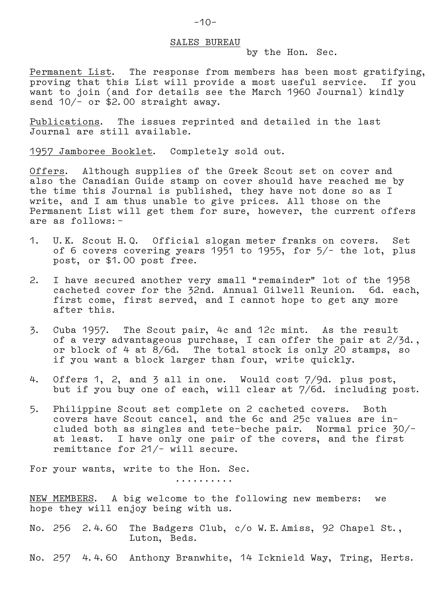#### SALES BUREAU

by the Hon. Sec.

Permanent List. The response from members has been most gratifying, proving that this List will provide a most useful service. If you want to join (and for details see the March 1960 Journal) kindly send 10/– or \$2.00 straight away.

Publications. The issues reprinted and detailed in the last Journal are still available.

1957 Jamboree Booklet. Completely sold out.

Offers. Although supplies of the Greek Scout set on cover and also the Canadian Guide stamp on cover should have reached me by the time this Journal is published, they have not done so as I write, and I am thus unable to give prices. All those on the Permanent List will get them for sure, however, the current offers are as follows:–

- 1. U.K. Scout H.Q. Official slogan meter franks on covers. Set of 6 covers covering years 1951 to 1955, for 5/– the lot, plus post, or \$1.00 post free.
- 2. I have secured another very small "remainder" lot of the 1958 cacheted cover for the 32nd. Annual Gilwell Reunion. 6d. each, first come, first served, and I cannot hope to get any more after this.
- 3. Cuba 1957. The Scout pair, 4c and 12c mint. As the result of a very advantageous purchase, I can offer the pair at 2/3d., or block of 4 at 8/6d. The total stock is only 20 stamps, so if you want a block larger than four, write quickly.
- 4. Offers 1, 2, and 3 all in one. Would cost 7/9d. plus post, but if you buy one of each, will clear at 7/6d. including post.
- 5. Philippine Scout set complete on 2 cacheted covers. Both covers have Scout cancel, and the 6c and 25c values are in– cluded both as singles and tete–beche pair. Normal price 30/– at least. I have only one pair of the covers, and the first remittance for 21/– will secure.

For your wants, write to the Hon. Sec.

..........

NEW MEMBERS. A big welcome to the following new members: we hope they will enjoy being with us.

No. 256 2.4.60 The Badgers Club, c/o W.E.Amiss, 92 Chapel St., Luton, Beds.

No. 257 4.4.60 Anthony Branwhite, 14 Icknield Way, Tring, Herts.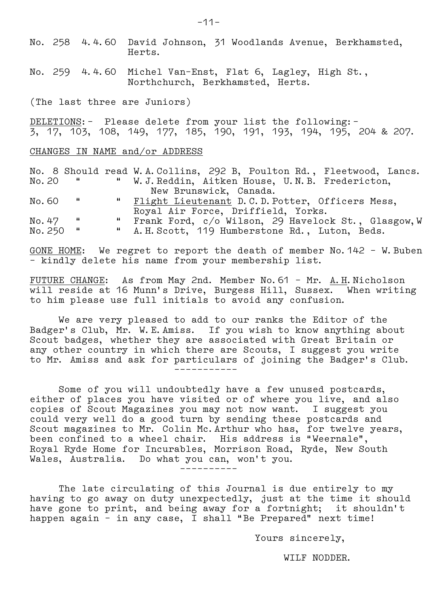No. 258 4.4.60 David Johnson, 31 Woodlands Avenue, Berkhamsted, Herts.

No. 259 4.4.60 Michel Van–Enst, Flat 6, Lagley, High St., Northchurch, Berkhamsted, Herts.

(The last three are Juniors)

DELETIONS:– Please delete from your list the following:– 3, 17, 103, 108, 149, 177, 185, 190, 191, 193, 194, 195, 204 & 207.

#### CHANGES IN NAME and/or ADDRESS

No. 8 Should read W.A.Collins, 292 B, Poulton Rd., Fleetwood, Lancs. No.20 " " W.J.Reddin, Aitken House, U.N.B. Fredericton, New Brunswick, Canada.<br>"Flight Lieutenant D.C.D.F No. 60 " " Flight Lieutenant D.C.D. Potter, Officers Mess, Royal Air Force, Driffield, Yorks.<br>"Erank Ford, c/o Wilson, 29 Haveloc No. 47 " " Frank Ford, c/o Wilson, 29 Havelock St., Glasgow, W<br>No. 250 " " A. H. Scott, 119 Humberstone Rd., Luton, Beds. " A.H. Scott, 119 Humberstone Rd., Luton, Beds.

GONE HOME: We regret to report the death of member No.142 – W.Buben – kindly delete his name from your membership list.

FUTURE CHANGE: As from May 2nd. Member No. 61 - Mr. A.H.Nicholson will reside at 16 Munn's Drive, Burgess Hill, Sussex. When writing to him please use full initials to avoid any confusion.

 We are very pleased to add to our ranks the Editor of the Badger's Club, Mr. W.E.Amiss. If you wish to know anything about Scout badges, whether they are associated with Great Britain or any other country in which there are Scouts, I suggest you write to Mr. Amiss and ask for particulars of joining the Badger's Club. –––––––––––

 Some of you will undoubtedly have a few unused postcards, either of places you have visited or of where you live, and also copies of Scout Magazines you may not now want. I suggest you could very well do a good turn by sending these postcards and Scout magazines to Mr. Colin Mc.Arthur who has, for twelve years, been confined to a wheel chair. His address is "Weernale", Royal Ryde Home for Incurables, Morrison Road, Ryde, New South Wales, Australia. Do what you can, won't you. ––––––––––

 The late circulating of this Journal is due entirely to my having to go away on duty unexpectedly, just at the time it should have gone to print, and being away for a fortnight; it shouldn't happen again – in any case, I shall "Be Prepared" next time!

Yours sincerely,

WILF NODDER.